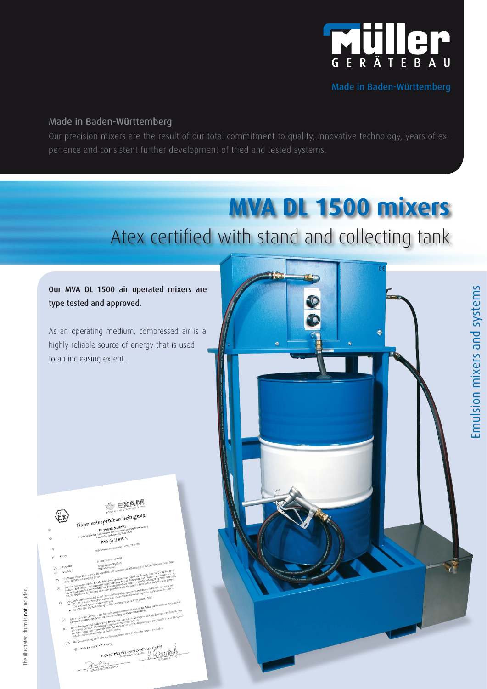

Made in Baden-Württemberg

Emulsion mixers and systems

Emulsion mixers and systems

### Made in Baden-Württemberg

Our precision mixers are the result of our total commitment to quality, innovative technology, years of experience and consistent further development of tried and tested systems.

# **MVA DL 1500 mixers**

Atex certified with stand and collecting tank

## Our MVA DL 1500 air operated mixers are type tested and approved.

As an operating medium, compressed air is a highly reliable source of energy that is used to an increasing extent.



| <b>BBG Prut- univ</b>                                                                                                                                                                                                                                                                                                                                                                                                                                                                                                             |                                                                                                                                                                                                                  |
|-----------------------------------------------------------------------------------------------------------------------------------------------------------------------------------------------------------------------------------------------------------------------------------------------------------------------------------------------------------------------------------------------------------------------------------------------------------------------------------------------------------------------------------|------------------------------------------------------------------------------------------------------------------------------------------------------------------------------------------------------------------|
|                                                                                                                                                                                                                                                                                                                                                                                                                                                                                                                                   |                                                                                                                                                                                                                  |
|                                                                                                                                                                                                                                                                                                                                                                                                                                                                                                                                   |                                                                                                                                                                                                                  |
|                                                                                                                                                                                                                                                                                                                                                                                                                                                                                                                                   |                                                                                                                                                                                                                  |
|                                                                                                                                                                                                                                                                                                                                                                                                                                                                                                                                   |                                                                                                                                                                                                                  |
| Baumusterprüfbescheinigung<br>- Richtlinie 94/9/EG -                                                                                                                                                                                                                                                                                                                                                                                                                                                                              |                                                                                                                                                                                                                  |
|                                                                                                                                                                                                                                                                                                                                                                                                                                                                                                                                   |                                                                                                                                                                                                                  |
| Geräte und Schutzsysteme zur bestimmungsgemäßen Verwendung                                                                                                                                                                                                                                                                                                                                                                                                                                                                        |                                                                                                                                                                                                                  |
|                                                                                                                                                                                                                                                                                                                                                                                                                                                                                                                                   |                                                                                                                                                                                                                  |
|                                                                                                                                                                                                                                                                                                                                                                                                                                                                                                                                   |                                                                                                                                                                                                                  |
| BVS 04 H 075 X                                                                                                                                                                                                                                                                                                                                                                                                                                                                                                                    |                                                                                                                                                                                                                  |
| Scheibenwassermischanlage MVA-DL 1500                                                                                                                                                                                                                                                                                                                                                                                                                                                                                             |                                                                                                                                                                                                                  |
|                                                                                                                                                                                                                                                                                                                                                                                                                                                                                                                                   |                                                                                                                                                                                                                  |
|                                                                                                                                                                                                                                                                                                                                                                                                                                                                                                                                   |                                                                                                                                                                                                                  |
| Gerät:                                                                                                                                                                                                                                                                                                                                                                                                                                                                                                                            |                                                                                                                                                                                                                  |
| Müller Gerätebau GmbH                                                                                                                                                                                                                                                                                                                                                                                                                                                                                                             |                                                                                                                                                                                                                  |
|                                                                                                                                                                                                                                                                                                                                                                                                                                                                                                                                   |                                                                                                                                                                                                                  |
| Hersteller:                                                                                                                                                                                                                                                                                                                                                                                                                                                                                                                       |                                                                                                                                                                                                                  |
| 5)                                                                                                                                                                                                                                                                                                                                                                                                                                                                                                                                |                                                                                                                                                                                                                  |
| Die Bassen dieser Gestes symlig die verschiedenen zulässigen Ausführungen sind im der Anlage zu dieser Bau-<br>Die Zentinismurgunde der EXAM IND Post, und Zentitate Grahl beschnietigt, dam die Greise der grand-<br>Anschrift:<br>$\left(6\right)$<br>on anomanopera en EAAM Meur rein ses anomas unan encompa estas el caracteristica.<br>Un anomanopera en EAAM Meurica estas forza de la Venezia en la Caracteristica en la Venezia.<br>Implica Salembile - un Orquination en la Galici                                      |                                                                                                                                                                                                                  |
| egenten Sommenlos und versuntermanisterration der die Anderstadt von Versung († 20. Jahrhunder 1970)<br>Anders Sommenlos und Versundere Regissionsfahren der General Bernstein († 2011)<br>Steinhammen († 20. Jahrhunder 1970)                                                                                                                                                                                                                                                                                                    |                                                                                                                                                                                                                  |
| musterprüfbescheinigung festgelegt.<br>(7)                                                                                                                                                                                                                                                                                                                                                                                                                                                                                        |                                                                                                                                                                                                                  |
|                                                                                                                                                                                                                                                                                                                                                                                                                                                                                                                                   |                                                                                                                                                                                                                  |
|                                                                                                                                                                                                                                                                                                                                                                                                                                                                                                                                   |                                                                                                                                                                                                                  |
| (8)                                                                                                                                                                                                                                                                                                                                                                                                                                                                                                                               |                                                                                                                                                                                                                  |
|                                                                                                                                                                                                                                                                                                                                                                                                                                                                                                                                   |                                                                                                                                                                                                                  |
| communications are returned in exposurance and interests from Author 31 of PASCAGE.<br>Communications and the Perform Star is der grandmished Stillminghams 1100-342-04 BVS-Ft niedergoleg.<br>Die grandlegenden Sicherheits- und Gesundheitsenforderung zu werden erfollt durch Übereinginmung mit<br>generationen einen men was annamen men aus einen behannen andere generationen andere andere generationen bestehtet.<br>1951 1951 1960-1760 aus Made Antwicke Gester für den Einstein in explosionen geführendem bestehten. |                                                                                                                                                                                                                  |
| $\sim$ 13463-12002 Berichtspang 12003, Berichtspang zu DIN EN 13463-12002 DIN EN 13463-1                                                                                                                                                                                                                                                                                                                                                                                                                                          |                                                                                                                                                                                                                  |
|                                                                                                                                                                                                                                                                                                                                                                                                                                                                                                                                   |                                                                                                                                                                                                                  |
| (9)                                                                                                                                                                                                                                                                                                                                                                                                                                                                                                                               |                                                                                                                                                                                                                  |
|                                                                                                                                                                                                                                                                                                                                                                                                                                                                                                                                   |                                                                                                                                                                                                                  |
| Falls das Zeichen. """N." hierer der Besichteiligungsmenen geht, wird in der Anlage zu dieser Beschrinigung u<br>besondere Keningungen für die sichere Amerikanische der Gerate bingewiesen.<br>Diete Baummerprobesischeinigung bericht sich zur mit die Konzeption und die Baummerprobeng der                                                                                                                                                                                                                                    |                                                                                                                                                                                                                  |
|                                                                                                                                                                                                                                                                                                                                                                                                                                                                                                                                   |                                                                                                                                                                                                                  |
|                                                                                                                                                                                                                                                                                                                                                                                                                                                                                                                                   |                                                                                                                                                                                                                  |
| (10)                                                                                                                                                                                                                                                                                                                                                                                                                                                                                                                              |                                                                                                                                                                                                                  |
|                                                                                                                                                                                                                                                                                                                                                                                                                                                                                                                                   |                                                                                                                                                                                                                  |
|                                                                                                                                                                                                                                                                                                                                                                                                                                                                                                                                   |                                                                                                                                                                                                                  |
| schrijvbenen Geette in Übereinstimmung mit der Richtlinie 94/9/EG.<br>(11)<br>nicht durch diese Bescheinigung abgedeckt sind.                                                                                                                                                                                                                                                                                                                                                                                                     | nommens versen a vereningenemen an en norman excepte.<br>Ele literaturas una protestaturasion der Gelles tida welere Anforderungen der Pichtilisie zu erlüllen.<br>Ele literaturas una broekshiftelijke autoris. |
|                                                                                                                                                                                                                                                                                                                                                                                                                                                                                                                                   |                                                                                                                                                                                                                  |
|                                                                                                                                                                                                                                                                                                                                                                                                                                                                                                                                   |                                                                                                                                                                                                                  |
| Die Kennteichnung der Geräte und Schutzsystene muss die folgenden Angaben enthalten:                                                                                                                                                                                                                                                                                                                                                                                                                                              |                                                                                                                                                                                                                  |
| (12)<br>$-10^{-7}$ < 40 °C                                                                                                                                                                                                                                                                                                                                                                                                                                                                                                        |                                                                                                                                                                                                                  |
|                                                                                                                                                                                                                                                                                                                                                                                                                                                                                                                                   | A                                                                                                                                                                                                                |

MRG Prüf- und